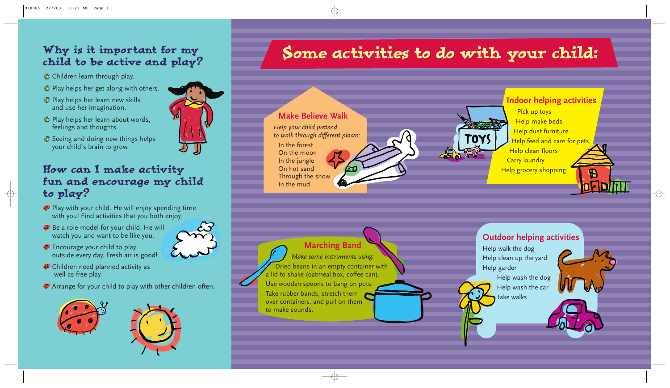## Why is it important for my child to be active and play?

- $\circledR$  Children learn through play.
- **Play helps her get along with others.**
- Play helps her learn new skills and use her imagination.
- Play helps her learn about words, feelings and thoughts.
- **Seeing and doing new things helps** your child's brain to grow.

- $\clubsuit$  Play with your child. He will enjoy spending time with you! Find activities that you both enjoy.
- **Be a role model for your child. He will** watch you and want to be like you.



- **Encourage your child to play** outside every day. Fresh air is good!
- **<sup>◆</sup>** Children need planned activity as well as free play.
- $\bullet$  Arrange for your child to play with other children often.





## How can I make activity fun and encourage my child to play?





*Make some instruments using:* Dried beans in an empty container with a lid to shake (oatmeal box, coffee can). Use wooden spoons to bang on pots. Take rubber bands, stretch them over containers, and pull on them to make sounds.

#### **Make Believe Walk**

*Help your child pretend to walk through different places:*

In the forest On the moon In the jungle On hot sand Through the snow In the mud

#### **Indoor helping activities**

Pick up toys Help make beds Help dust furniture Help feed and care for pets Help clean floors Carry laundry Help grocery shopping

 $\bigoplus$ 

 $\oplus$ 

### **Outdoor helping activities**

Help walk the dog Help clean up the yard Help garden

TOY

Help wash the dog Help wash the car Take walks